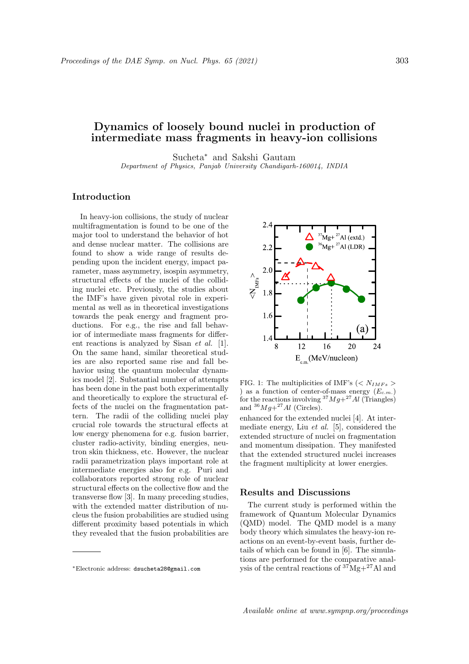## **Dynamics of loosely bound nuclei in production of intermediate mass fragments in heavy-ion collisions**

Sucheta*<sup>∗</sup>* and Sakshi Gautam

*Department of Physics, Panjab University Chandigarh-160014, INDIA*

## **Introduction**

In heavy-ion collisions, the study of nuclear multifragmentation is found to be one of the major tool to understand the behavior of hot and dense nuclear matter. The collisions are found to show a wide range of results depending upon the incident energy, impact parameter, mass asymmetry, isospin asymmetry, structural effects of the nuclei of the colliding nuclei etc. Previously, the studies about the IMF's have given pivotal role in experimental as well as in theoretical investigations towards the peak energy and fragment productions. For e.g., the rise and fall behavior of intermediate mass fragments for different reactions is analyzed by Sisan *et al.* [1]. On the same hand, similar theoretical studies are also reported same rise and fall behavior using the quantum molecular dynamics model [2]. Substantial number of attempts has been done in the past both experimentally and theoretically to explore the structural effects of the nuclei on the fragmentation pattern. The radii of the colliding nuclei play crucial role towards the structural effects at low energy phenomena for e.g. fusion barrier, cluster radio-activity, binding energies, neutron skin thickness, etc. However, the nuclear radii parametrization plays important role at intermediate energies also for e.g. Puri and collaborators reported strong role of nuclear structural effects on the collective flow and the transverse flow [3]. In many preceding studies, with the extended matter distribution of nucleus the fusion probabilities are studied using different proximity based potentials in which they revealed that the fusion probabilities are



FIG. 1: The multiplicities of IMF's  $\left\langle \langle N_{IMFs} \rangle \right\rangle$ ) as a function of center-of-mass energy (*Ec.m.*) for the reactions involving  $37Mg + 27Al$  (Triangles) and  $36Mg+^{27}Al$  (Circles).

enhanced for the extended nuclei [4]. At intermediate energy, Liu *et al.* [5], considered the extended structure of nuclei on fragmentation and momentum dissipation. They manifested that the extended structured nuclei increases the fragment multiplicity at lower energies.

## **Results and Discussions**

The current study is performed within the framework of Quantum Molecular Dynamics (QMD) model. The QMD model is a many body theory which simulates the heavy-ion reactions on an event-by-event basis, further details of which can be found in [6]. The simulations are performed for the comparative analysis of the central reactions of  $37^{\circ}$ Mg+ $27^{\circ}$ Al and

Available online at www.sympnp.org/proceedings

*<sup>∗</sup>*Electronic address: dsucheta28@gmail.com